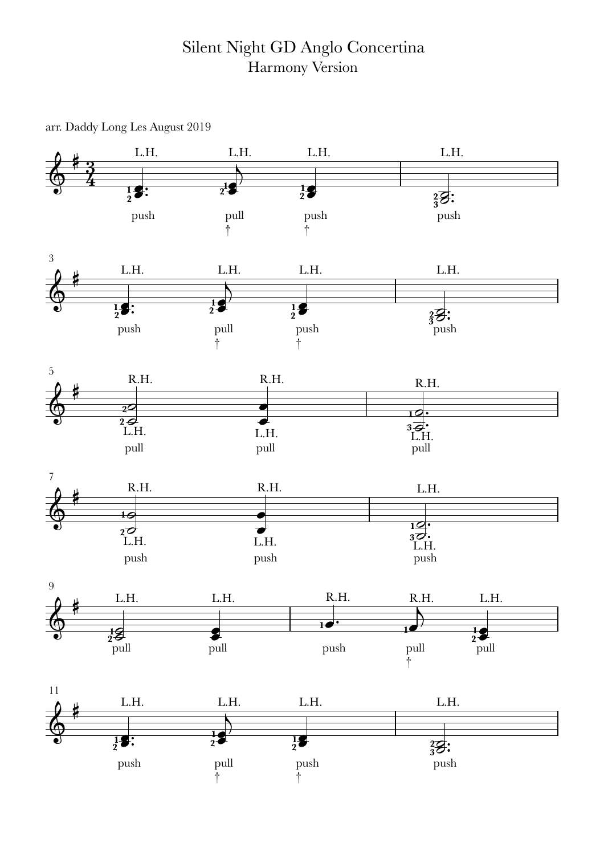## Silent Night GD Anglo Concertina Harmony Version

arr. Daddy Long Les August 2019